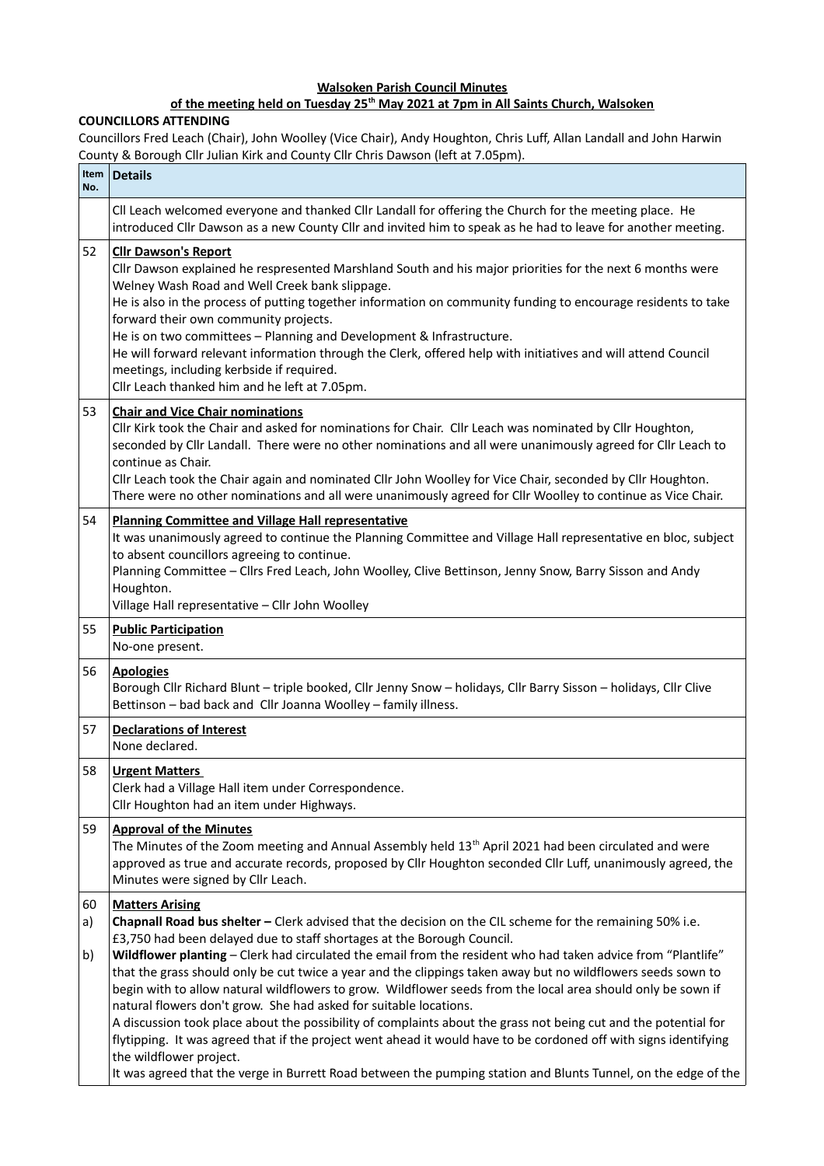## **Walsoken Parish Council Minutes**

## **of the meeting held on Tuesday 25th May 2021 at 7pm in All Saints Church, Walsoken**

## **COUNCILLORS ATTENDING**

Councillors Fred Leach (Chair), John Woolley (Vice Chair), Andy Houghton, Chris Luff, Allan Landall and John Harwin County & Borough Cllr Julian Kirk and County Cllr Chris Dawson (left at 7.05pm).

| Item<br>No.    | <b>Details</b>                                                                                                                                                                                                                                                                                                                                                                                                                                                                                                                                                                                                                                                                                                                                                                                                                                                                                                                                                                                                        |
|----------------|-----------------------------------------------------------------------------------------------------------------------------------------------------------------------------------------------------------------------------------------------------------------------------------------------------------------------------------------------------------------------------------------------------------------------------------------------------------------------------------------------------------------------------------------------------------------------------------------------------------------------------------------------------------------------------------------------------------------------------------------------------------------------------------------------------------------------------------------------------------------------------------------------------------------------------------------------------------------------------------------------------------------------|
|                | CII Leach welcomed everyone and thanked CIIr Landall for offering the Church for the meeting place. He<br>introduced Cllr Dawson as a new County Cllr and invited him to speak as he had to leave for another meeting.                                                                                                                                                                                                                                                                                                                                                                                                                                                                                                                                                                                                                                                                                                                                                                                                |
| 52             | <b>Clir Dawson's Report</b><br>Cllr Dawson explained he respresented Marshland South and his major priorities for the next 6 months were<br>Welney Wash Road and Well Creek bank slippage.<br>He is also in the process of putting together information on community funding to encourage residents to take<br>forward their own community projects.<br>He is on two committees - Planning and Development & Infrastructure.<br>He will forward relevant information through the Clerk, offered help with initiatives and will attend Council<br>meetings, including kerbside if required.<br>Cllr Leach thanked him and he left at 7.05pm.                                                                                                                                                                                                                                                                                                                                                                           |
| 53             | <b>Chair and Vice Chair nominations</b><br>Cllr Kirk took the Chair and asked for nominations for Chair. Cllr Leach was nominated by Cllr Houghton,<br>seconded by Cllr Landall. There were no other nominations and all were unanimously agreed for Cllr Leach to<br>continue as Chair.<br>Cllr Leach took the Chair again and nominated Cllr John Woolley for Vice Chair, seconded by Cllr Houghton.<br>There were no other nominations and all were unanimously agreed for Cllr Woolley to continue as Vice Chair.                                                                                                                                                                                                                                                                                                                                                                                                                                                                                                 |
| 54             | <b>Planning Committee and Village Hall representative</b><br>It was unanimously agreed to continue the Planning Committee and Village Hall representative en bloc, subject<br>to absent councillors agreeing to continue.<br>Planning Committee - Cllrs Fred Leach, John Woolley, Clive Bettinson, Jenny Snow, Barry Sisson and Andy<br>Houghton.<br>Village Hall representative - Cllr John Woolley                                                                                                                                                                                                                                                                                                                                                                                                                                                                                                                                                                                                                  |
| 55             | <b>Public Participation</b><br>No-one present.                                                                                                                                                                                                                                                                                                                                                                                                                                                                                                                                                                                                                                                                                                                                                                                                                                                                                                                                                                        |
| 56             | <b>Apologies</b><br>Borough Cllr Richard Blunt - triple booked, Cllr Jenny Snow - holidays, Cllr Barry Sisson - holidays, Cllr Clive<br>Bettinson - bad back and Cllr Joanna Woolley - family illness.                                                                                                                                                                                                                                                                                                                                                                                                                                                                                                                                                                                                                                                                                                                                                                                                                |
| 57             | <b>Declarations of Interest</b><br>None declared.                                                                                                                                                                                                                                                                                                                                                                                                                                                                                                                                                                                                                                                                                                                                                                                                                                                                                                                                                                     |
| 58             | <b>Urgent Matters</b><br>Clerk had a Village Hall item under Correspondence.<br>Cllr Houghton had an item under Highways.                                                                                                                                                                                                                                                                                                                                                                                                                                                                                                                                                                                                                                                                                                                                                                                                                                                                                             |
| 59             | <b>Approval of the Minutes</b><br>The Minutes of the Zoom meeting and Annual Assembly held 13 <sup>th</sup> April 2021 had been circulated and were<br>approved as true and accurate records, proposed by Cllr Houghton seconded Cllr Luff, unanimously agreed, the<br>Minutes were signed by Cllr Leach.                                                                                                                                                                                                                                                                                                                                                                                                                                                                                                                                                                                                                                                                                                             |
| 60<br>a)<br>b) | <b>Matters Arising</b><br>Chapnall Road bus shelter - Clerk advised that the decision on the CIL scheme for the remaining 50% i.e.<br>£3,750 had been delayed due to staff shortages at the Borough Council.<br>Wildflower planting - Clerk had circulated the email from the resident who had taken advice from "Plantlife"<br>that the grass should only be cut twice a year and the clippings taken away but no wildflowers seeds sown to<br>begin with to allow natural wildflowers to grow. Wildflower seeds from the local area should only be sown if<br>natural flowers don't grow. She had asked for suitable locations.<br>A discussion took place about the possibility of complaints about the grass not being cut and the potential for<br>flytipping. It was agreed that if the project went ahead it would have to be cordoned off with signs identifying<br>the wildflower project.<br>It was agreed that the verge in Burrett Road between the pumping station and Blunts Tunnel, on the edge of the |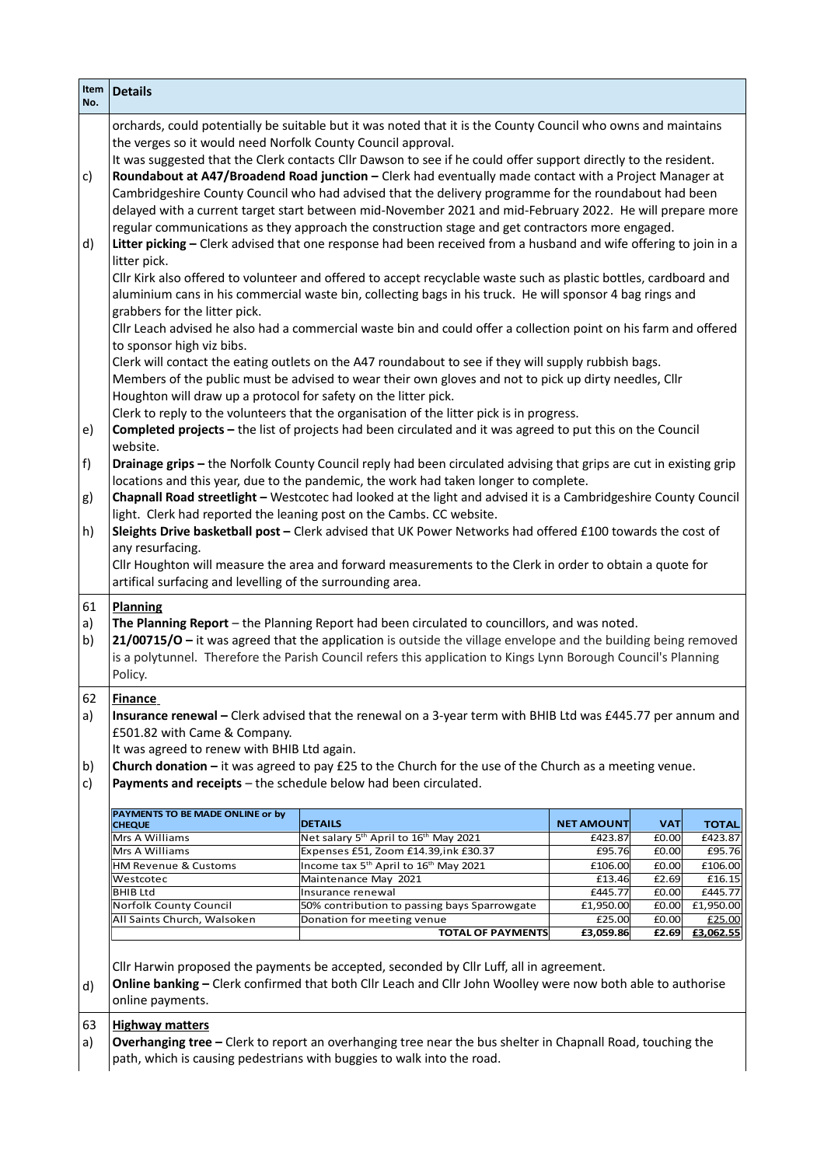| Item $ $<br>No.                                    | <b>Details</b>                                                                                                                                                                                                                                                                                                                                                                                                                                                                                                                                                                                                                                                                                                                                                                                                                                                                                                                                                                                                                                                                                                                                                                                                                                                                                                                                                                                                                                                                                                                                                                                                                                                                                                                                                                                                                                                                                                                                                                                                                                                                                                                                                                                                                                                                                                                                                                                                                                                                                                                                                                                                                                                                                                                                                    |                                                                                                                                                                                      |                     |                |                     |  |  |
|----------------------------------------------------|-------------------------------------------------------------------------------------------------------------------------------------------------------------------------------------------------------------------------------------------------------------------------------------------------------------------------------------------------------------------------------------------------------------------------------------------------------------------------------------------------------------------------------------------------------------------------------------------------------------------------------------------------------------------------------------------------------------------------------------------------------------------------------------------------------------------------------------------------------------------------------------------------------------------------------------------------------------------------------------------------------------------------------------------------------------------------------------------------------------------------------------------------------------------------------------------------------------------------------------------------------------------------------------------------------------------------------------------------------------------------------------------------------------------------------------------------------------------------------------------------------------------------------------------------------------------------------------------------------------------------------------------------------------------------------------------------------------------------------------------------------------------------------------------------------------------------------------------------------------------------------------------------------------------------------------------------------------------------------------------------------------------------------------------------------------------------------------------------------------------------------------------------------------------------------------------------------------------------------------------------------------------------------------------------------------------------------------------------------------------------------------------------------------------------------------------------------------------------------------------------------------------------------------------------------------------------------------------------------------------------------------------------------------------------------------------------------------------------------------------------------------------|--------------------------------------------------------------------------------------------------------------------------------------------------------------------------------------|---------------------|----------------|---------------------|--|--|
| c)<br>d)<br>e)<br>f)<br>g)<br>h)<br>61<br>a)<br>b) | orchards, could potentially be suitable but it was noted that it is the County Council who owns and maintains<br>the verges so it would need Norfolk County Council approval.<br>It was suggested that the Clerk contacts Cllr Dawson to see if he could offer support directly to the resident.<br>Roundabout at A47/Broadend Road junction - Clerk had eventually made contact with a Project Manager at<br>Cambridgeshire County Council who had advised that the delivery programme for the roundabout had been<br>delayed with a current target start between mid-November 2021 and mid-February 2022. He will prepare more<br>regular communications as they approach the construction stage and get contractors more engaged.<br>Litter picking - Clerk advised that one response had been received from a husband and wife offering to join in a<br>litter pick.<br>Cllr Kirk also offered to volunteer and offered to accept recyclable waste such as plastic bottles, cardboard and<br>aluminium cans in his commercial waste bin, collecting bags in his truck. He will sponsor 4 bag rings and<br>grabbers for the litter pick.<br>Cllr Leach advised he also had a commercial waste bin and could offer a collection point on his farm and offered<br>to sponsor high viz bibs.<br>Clerk will contact the eating outlets on the A47 roundabout to see if they will supply rubbish bags.<br>Members of the public must be advised to wear their own gloves and not to pick up dirty needles, Cllr<br>Houghton will draw up a protocol for safety on the litter pick.<br>Clerk to reply to the volunteers that the organisation of the litter pick is in progress.<br>Completed projects - the list of projects had been circulated and it was agreed to put this on the Council<br>website.<br>Drainage grips - the Norfolk County Council reply had been circulated advising that grips are cut in existing grip<br>locations and this year, due to the pandemic, the work had taken longer to complete.<br>Chapnall Road streetlight - Westcotec had looked at the light and advised it is a Cambridgeshire County Council<br>light. Clerk had reported the leaning post on the Cambs. CC website.<br>Sleights Drive basketball post - Clerk advised that UK Power Networks had offered £100 towards the cost of<br>any resurfacing.<br>Cllr Houghton will measure the area and forward measurements to the Clerk in order to obtain a quote for<br>artifical surfacing and levelling of the surrounding area.<br><b>Planning</b><br>The Planning Report - the Planning Report had been circulated to councillors, and was noted.<br>21/00715/0 - it was agreed that the application is outside the village envelope and the building being removed |                                                                                                                                                                                      |                     |                |                     |  |  |
|                                                    | Policy.                                                                                                                                                                                                                                                                                                                                                                                                                                                                                                                                                                                                                                                                                                                                                                                                                                                                                                                                                                                                                                                                                                                                                                                                                                                                                                                                                                                                                                                                                                                                                                                                                                                                                                                                                                                                                                                                                                                                                                                                                                                                                                                                                                                                                                                                                                                                                                                                                                                                                                                                                                                                                                                                                                                                                           | is a polytunnel. Therefore the Parish Council refers this application to Kings Lynn Borough Council's Planning                                                                       |                     |                |                     |  |  |
| 62<br>a)<br>b)<br>c)                               | <b>Finance</b><br>Insurance renewal - Clerk advised that the renewal on a 3-year term with BHIB Ltd was £445.77 per annum and<br>£501.82 with Came & Company.<br>It was agreed to renew with BHIB Ltd again.<br>Church donation $-$ it was agreed to pay £25 to the Church for the use of the Church as a meeting venue.<br>Payments and receipts - the schedule below had been circulated.                                                                                                                                                                                                                                                                                                                                                                                                                                                                                                                                                                                                                                                                                                                                                                                                                                                                                                                                                                                                                                                                                                                                                                                                                                                                                                                                                                                                                                                                                                                                                                                                                                                                                                                                                                                                                                                                                                                                                                                                                                                                                                                                                                                                                                                                                                                                                                       |                                                                                                                                                                                      |                     |                |                     |  |  |
|                                                    | PAYMENTS TO BE MADE ONLINE or by<br><b>CHEQUE</b>                                                                                                                                                                                                                                                                                                                                                                                                                                                                                                                                                                                                                                                                                                                                                                                                                                                                                                                                                                                                                                                                                                                                                                                                                                                                                                                                                                                                                                                                                                                                                                                                                                                                                                                                                                                                                                                                                                                                                                                                                                                                                                                                                                                                                                                                                                                                                                                                                                                                                                                                                                                                                                                                                                                 | <b>DETAILS</b>                                                                                                                                                                       | <b>NET AMOUNT</b>   | <b>VAT</b>     | <b>TOTAL</b>        |  |  |
|                                                    | Mrs A Williams<br>Mrs A Williams                                                                                                                                                                                                                                                                                                                                                                                                                                                                                                                                                                                                                                                                                                                                                                                                                                                                                                                                                                                                                                                                                                                                                                                                                                                                                                                                                                                                                                                                                                                                                                                                                                                                                                                                                                                                                                                                                                                                                                                                                                                                                                                                                                                                                                                                                                                                                                                                                                                                                                                                                                                                                                                                                                                                  | Net salary 5 <sup>th</sup> April to 16 <sup>th</sup> May 2021<br>Expenses £51, Zoom £14.39,ink £30.37                                                                                | £423.87             | E0.00          | £423.87<br>£95.76   |  |  |
|                                                    | <b>HM Revenue &amp; Customs</b>                                                                                                                                                                                                                                                                                                                                                                                                                                                                                                                                                                                                                                                                                                                                                                                                                                                                                                                                                                                                                                                                                                                                                                                                                                                                                                                                                                                                                                                                                                                                                                                                                                                                                                                                                                                                                                                                                                                                                                                                                                                                                                                                                                                                                                                                                                                                                                                                                                                                                                                                                                                                                                                                                                                                   | Income tax 5 <sup>th</sup> April to 16 <sup>th</sup> May 2021                                                                                                                        | £95.76<br>£106.00   | E0.00<br>E0.00 | £106.00             |  |  |
|                                                    | Westcotec                                                                                                                                                                                                                                                                                                                                                                                                                                                                                                                                                                                                                                                                                                                                                                                                                                                                                                                                                                                                                                                                                                                                                                                                                                                                                                                                                                                                                                                                                                                                                                                                                                                                                                                                                                                                                                                                                                                                                                                                                                                                                                                                                                                                                                                                                                                                                                                                                                                                                                                                                                                                                                                                                                                                                         | Maintenance May 2021                                                                                                                                                                 | £13.46              | £2.69          | £16.15              |  |  |
|                                                    | <b>BHIBLtd</b>                                                                                                                                                                                                                                                                                                                                                                                                                                                                                                                                                                                                                                                                                                                                                                                                                                                                                                                                                                                                                                                                                                                                                                                                                                                                                                                                                                                                                                                                                                                                                                                                                                                                                                                                                                                                                                                                                                                                                                                                                                                                                                                                                                                                                                                                                                                                                                                                                                                                                                                                                                                                                                                                                                                                                    | Insurance renewal                                                                                                                                                                    | £445.77             | £0.00          | £445.77             |  |  |
|                                                    | Norfolk County Council                                                                                                                                                                                                                                                                                                                                                                                                                                                                                                                                                                                                                                                                                                                                                                                                                                                                                                                                                                                                                                                                                                                                                                                                                                                                                                                                                                                                                                                                                                                                                                                                                                                                                                                                                                                                                                                                                                                                                                                                                                                                                                                                                                                                                                                                                                                                                                                                                                                                                                                                                                                                                                                                                                                                            | 50% contribution to passing bays Sparrowgate                                                                                                                                         | £1,950.00           | E0.00          | £1,950.00           |  |  |
|                                                    | All Saints Church, Walsoken                                                                                                                                                                                                                                                                                                                                                                                                                                                                                                                                                                                                                                                                                                                                                                                                                                                                                                                                                                                                                                                                                                                                                                                                                                                                                                                                                                                                                                                                                                                                                                                                                                                                                                                                                                                                                                                                                                                                                                                                                                                                                                                                                                                                                                                                                                                                                                                                                                                                                                                                                                                                                                                                                                                                       | Donation for meeting venue<br><b>TOTAL OF PAYMENTS</b>                                                                                                                               | £25.00<br>£3,059.86 | £0.00<br>£2.69 | £25.00<br>£3,062.55 |  |  |
| d)                                                 | Cllr Harwin proposed the payments be accepted, seconded by Cllr Luff, all in agreement.<br>Online banking - Clerk confirmed that both Cllr Leach and Cllr John Woolley were now both able to authorise<br>online payments.                                                                                                                                                                                                                                                                                                                                                                                                                                                                                                                                                                                                                                                                                                                                                                                                                                                                                                                                                                                                                                                                                                                                                                                                                                                                                                                                                                                                                                                                                                                                                                                                                                                                                                                                                                                                                                                                                                                                                                                                                                                                                                                                                                                                                                                                                                                                                                                                                                                                                                                                        |                                                                                                                                                                                      |                     |                |                     |  |  |
| 63<br>a)                                           | <b>Highway matters</b>                                                                                                                                                                                                                                                                                                                                                                                                                                                                                                                                                                                                                                                                                                                                                                                                                                                                                                                                                                                                                                                                                                                                                                                                                                                                                                                                                                                                                                                                                                                                                                                                                                                                                                                                                                                                                                                                                                                                                                                                                                                                                                                                                                                                                                                                                                                                                                                                                                                                                                                                                                                                                                                                                                                                            | Overhanging tree - Clerk to report an overhanging tree near the bus shelter in Chapnall Road, touching the<br>path, which is causing pedestrians with buggies to walk into the road. |                     |                |                     |  |  |